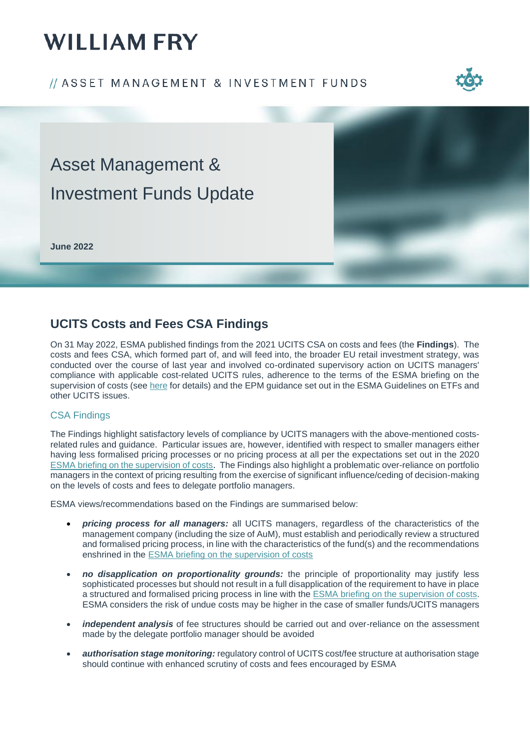# **WILLIAM FRY**

### // ASSET MANAGEMENT & INVESTMENT FUNDS





### **UCITS Costs and Fees CSA Findings**

On 31 May 2022, ESMA published findings from the 2021 UCITS CSA on costs and fees (the **Findings**). The costs and fees CSA, which formed part of, and will feed into, the broader EU retail investment strategy, was conducted over the course of last year and involved co-ordinated supervisory action on UCITS managers' compliance with applicable cost-related UCITS rules, adherence to the terms of the ESMA briefing on the supervision of costs (see [here](https://www.williamfry.com/newsandinsights/publications-article/2020/06/17/esma-issues-guidance-on-) for details) and the EPM guidance set out in the ESMA Guidelines on ETFs and other UCITS issues.

### CSA Findings

The Findings highlight satisfactory levels of compliance by UCITS managers with the above-mentioned costsrelated rules and guidance. Particular issues are, however, identified with respect to smaller managers either having less formalised pricing processes or no pricing process at all per the expectations set out in the 2020 ESMA [briefing on the supervision of costs.](https://www.williamfry.com/newsandinsights/publications-article/2020/06/17/esma-issues-guidance-on-) The Findings also highlight a problematic over-reliance on portfolio managers in the context of pricing resulting from the exercise of significant influence/ceding of decision-making on the levels of costs and fees to delegate portfolio managers.

ESMA views/recommendations based on the Findings are summarised below:

- *pricing process for all managers:* all UCITS managers, regardless of the characteristics of the management company (including the size of AuM), must establish and periodically review a structured and formalised pricing process, in line with the characteristics of the fund(s) and the recommendations enshrined in the ESMA [briefing on the supervision of costs](https://www.williamfry.com/newsandinsights/publications-article/2020/06/17/esma-issues-guidance-on-)
- *no disapplication on proportionality grounds:* the principle of proportionality may justify less sophisticated processes but should not result in a full disapplication of the requirement to have in place a structured and formalised pricing process in line with the ESMA [briefing on the supervision of costs](https://www.williamfry.com/newsandinsights/publications-article/2020/06/17/esma-issues-guidance-on-). ESMA considers the risk of undue costs may be higher in the case of smaller funds/UCITS managers
- *independent analysis* of fee structures should be carried out and over-reliance on the assessment made by the delegate portfolio manager should be avoided
- *authorisation stage monitoring:* regulatory control of UCITS cost/fee structure at authorisation stage should continue with enhanced scrutiny of costs and fees encouraged by ESMA